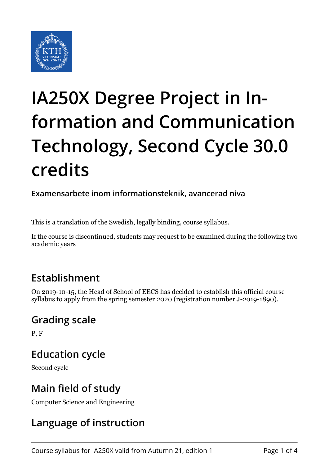

# **IA250X Degree Project in Information and Communication Technology, Second Cycle 30.0 credits**

**Examensarbete inom informationsteknik, avancerad niva**

This is a translation of the Swedish, legally binding, course syllabus.

If the course is discontinued, students may request to be examined during the following two academic years

### **Establishment**

On 2019-10-15, the Head of School of EECS has decided to establish this official course syllabus to apply from the spring semester 2020 (registration number J-2019-1890).

### **Grading scale**

P, F

## **Education cycle**

Second cycle

## **Main field of study**

Computer Science and Engineering

## **Language of instruction**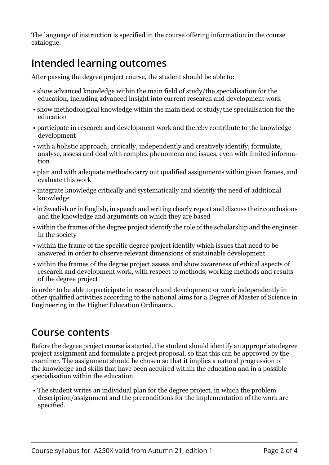The language of instruction is specified in the course offering information in the course catalogue.

# **Intended learning outcomes**

After passing the degree project course, the student should be able to:

- show advanced knowledge within the main field of study/the specialisation for the education, including advanced insight into current research and development work
- show methodological knowledge within the main field of study/the specialisation for the education
- participate in research and development work and thereby contribute to the knowledge development
- with a holistic approach, critically, independently and creatively identify, formulate, analyse, assess and deal with complex phenomena and issues, even with limited information
- plan and with adequate methods carry out qualified assignments within given frames, and evaluate this work
- integrate knowledge critically and systematically and identify the need of additional knowledge
- in Swedish or in English, in speech and writing clearly report and discuss their conclusions and the knowledge and arguments on which they are based
- within the frames of the degree project identify the role of the scholarship and the engineer in the society
- within the frame of the specific degree project identify which issues that need to be answered in order to observe relevant dimensions of sustainable development
- within the frames of the degree project assess and show awareness of ethical aspects of research and development work, with respect to methods, working methods and results of the degree project

in order to be able to participate in research and development or work independently in other qualified activities according to the national aims for a Degree of Master of Science in Engineering in the Higher Education Ordinance.

#### **Course contents**

Before the degree project course is started, the student should identify an appropriate degree project assignment and formulate a project proposal, so that this can be approved by the examiner. The assignment should be chosen so that it implies a natural progression of the knowledge and skills that have been acquired within the education and in a possible specialisation within the education.

 • The student writes an individual plan for the degree project, in which the problem description/assignment and the preconditions for the implementation of the work are specified.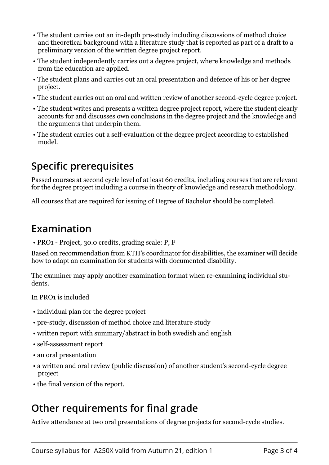- The student carries out an in-depth pre-study including discussions of method choice and theoretical background with a literature study that is reported as part of a draft to a preliminary version of the written degree project report.
- The student independently carries out a degree project, where knowledge and methods from the education are applied.
- The student plans and carries out an oral presentation and defence of his or her degree project.
- The student carries out an oral and written review of another second-cycle degree project.
- The student writes and presents a written degree project report, where the student clearly accounts for and discusses own conclusions in the degree project and the knowledge and the arguments that underpin them.
- The student carries out a self-evaluation of the degree project according to established model.

### **Specific prerequisites**

Passed courses at second cycle level of at least 60 credits, including courses that are relevant for the degree project including a course in theory of knowledge and research methodology.

All courses that are required for issuing of Degree of Bachelor should be completed.

#### **Examination**

• PRO1 - Project, 30.0 credits, grading scale: P, F

Based on recommendation from KTH's coordinator for disabilities, the examiner will decide how to adapt an examination for students with documented disability.

The examiner may apply another examination format when re-examining individual students.

In PRO1 is included

- individual plan for the degree project
- pre-study, discussion of method choice and literature study
- written report with summary/abstract in both swedish and english
- self-assessment report
- an oral presentation
- a written and oral review (public discussion) of another student's second-cycle degree project
- the final version of the report.

#### **Other requirements for final grade**

Active attendance at two oral presentations of degree projects for second-cycle studies.